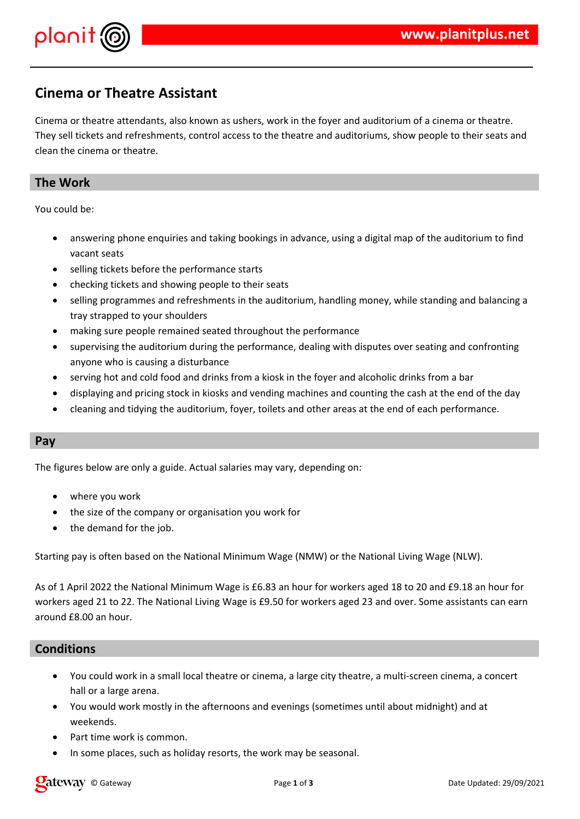

# **Cinema or Theatre Assistant**

Cinema or theatre attendants, also known as ushers, work in the foyer and auditorium of a cinema or theatre. They sell tickets and refreshments, control access to the theatre and auditoriums, show people to their seats and clean the cinema or theatre.

# **The Work**

You could be:

- answering phone enquiries and taking bookings in advance, using a digital map of the auditorium to find vacant seats
- selling tickets before the performance starts
- checking tickets and showing people to their seats
- selling programmes and refreshments in the auditorium, handling money, while standing and balancing a tray strapped to your shoulders
- making sure people remained seated throughout the performance
- supervising the auditorium during the performance, dealing with disputes over seating and confronting anyone who is causing a disturbance
- serving hot and cold food and drinks from a kiosk in the foyer and alcoholic drinks from a bar
- displaying and pricing stock in kiosks and vending machines and counting the cash at the end of the day
- cleaning and tidying the auditorium, foyer, toilets and other areas at the end of each performance.

### **Pay**

The figures below are only a guide. Actual salaries may vary, depending on:

- where you work
- the size of the company or organisation you work for
- the demand for the job.

Starting pay is often based on the National Minimum Wage (NMW) or the National Living Wage (NLW).

As of 1 April 2022 the National Minimum Wage is £6.83 an hour for workers aged 18 to 20 and £9.18 an hour for workers aged 21 to 22. The National Living Wage is £9.50 for workers aged 23 and over. Some assistants can earn around £8.00 an hour.

## **Conditions**

- You could work in a small local theatre or cinema, a large city theatre, a multi-screen cinema, a concert hall or a large arena.
- You would work mostly in the afternoons and evenings (sometimes until about midnight) and at weekends.
- Part time work is common.
- In some places, such as holiday resorts, the work may be seasonal.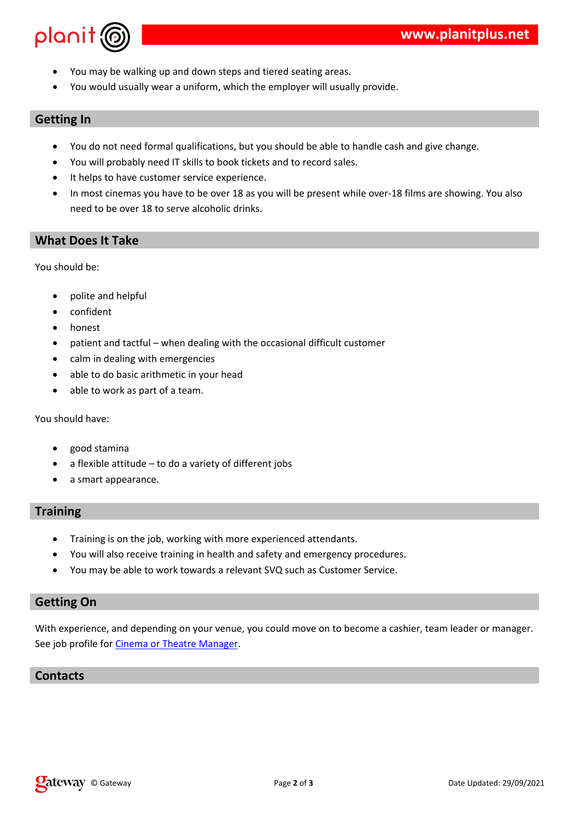|                                           | $\boldsymbol{\mathsf{\$}}$<br>\$                                                                                                                                                                                                                                                    | $\%$                  | $\mathbf{H}$<br>$\mathbf{I}$<br>$\mathbf{u}$<br>$\mathbf{I}$                                                                                                                                                                                                                                                                                                                                                                                                                                                                                 |
|-------------------------------------------|-------------------------------------------------------------------------------------------------------------------------------------------------------------------------------------------------------------------------------------------------------------------------------------|-----------------------|----------------------------------------------------------------------------------------------------------------------------------------------------------------------------------------------------------------------------------------------------------------------------------------------------------------------------------------------------------------------------------------------------------------------------------------------------------------------------------------------------------------------------------------------|
|                                           | \$<br>\$<br>$\bf 8$<br>8                                                                                                                                                                                                                                                            | $\mathbf{I}$<br>$\%$  | $\mathbf{u}$<br>$\mathcal{I}=\mathcal{I}$<br>8 !%<br>$\%$<br>%<br>$\mathbf{I}% _{0}\left( \mathbf{I}_{1}\right)$<br>$\mathbf{u}$<br>$\sim 10^{-11}$<br>$\%$ % 8# % !<br>$\begin{array}{cccccccccc} \uparrow & \uparrow & \downarrow & \downarrow & \downarrow & \downarrow & \downarrow & \downarrow & \downarrow & \end{array}$<br>$\frac{1}{2}$ % $\frac{1}{4}$<br>$'$ 7 4<br>$\%$<br>$$\mathbb{S}$$<br>H<br>$\mathcal{L}=\mathcal{L}^{\text{max}}$ , $\mathcal{L}=\mathcal{L}^{\text{max}}$ , $\mathcal{L}=\mathcal{L}$<br>$\overline{4}$ |
| $\, \, \raisebox{12pt}{$\scriptstyle \$}$ |                                                                                                                                                                                                                                                                                     | $\%$                  |                                                                                                                                                                                                                                                                                                                                                                                                                                                                                                                                              |
| $\, \, \raisebox{12pt}{$\scriptstyle \$}$ | $\mathop{!}\rule{0pt}{12pt}% \begin{subfigure}[t]{0.45\textwidth} \includegraphics[width=0.45\textwidth]{figs/fig_10.pdf} \caption{The number of parameters of the number of times.}\label{fig:1} \end{subfigure} \vspace{0.05\textwidth}$<br>$\mathbf{I}$<br>$\frac{1}{2}$<br>$\%$ | $\mathbf{I}$<br>$9\%$ | $\Gamma=1$<br>$\pm 1$<br>$\sim 1$ .<br>$\frac{1}{2}$<br>$\cdot \! \! \! \cdot \! \! \! \cdot$<br>$\%$<br>$\sim 1$<br>$\pmb{\cdot}$<br>$\pmb{\mathsf{H}}$<br>* $\%$<br>计可数 计可表<br>$\sim 10^6$                                                                                                                                                                                                                                                                                                                                                 |
|                                           | $\#$<br>\$<br>\$                                                                                                                                                                                                                                                                    | $\%$                  | $\mathbf{u}_\perp$<br>$*$ % 9 !<br>$\sim 10^{-10}$ m $^{-1}$<br>$\mathbb{P}(\mathbb{P}^1)$ and $\mathbb{P}^1$ . If $\mathbb{P}^1$<br>$\sim$ 1<br>$+$ $+$ $+$ $+$ $+$ $+$<br>%<br>$\frac{1}{2}$ +; < $\frac{1}{2}$                                                                                                                                                                                                                                                                                                                            |
| ٠                                         | 9<br>* $\%$                                                                                                                                                                                                                                                                         | $\sim 1$              | $\frac{1}{2}$ $\frac{1}{2}$ $\frac{1}{2}$ $\frac{1}{2}$ $\frac{1}{2}$ $\frac{1}{2}$ $\frac{1}{2}$ $\frac{1}{2}$ $\frac{1}{2}$ $\frac{1}{2}$ $\frac{1}{2}$ $\frac{1}{2}$ $\frac{1}{2}$ $\frac{1}{2}$ $\frac{1}{2}$ $\frac{1}{2}$ $\frac{1}{2}$ $\frac{1}{2}$ $\frac{1}{2}$ $\frac{1}{2}$ $\frac{1}{2}$ $\frac{1}{2}$<br>$#$ -<br>$\sim$ 10                                                                                                                                                                                                    |